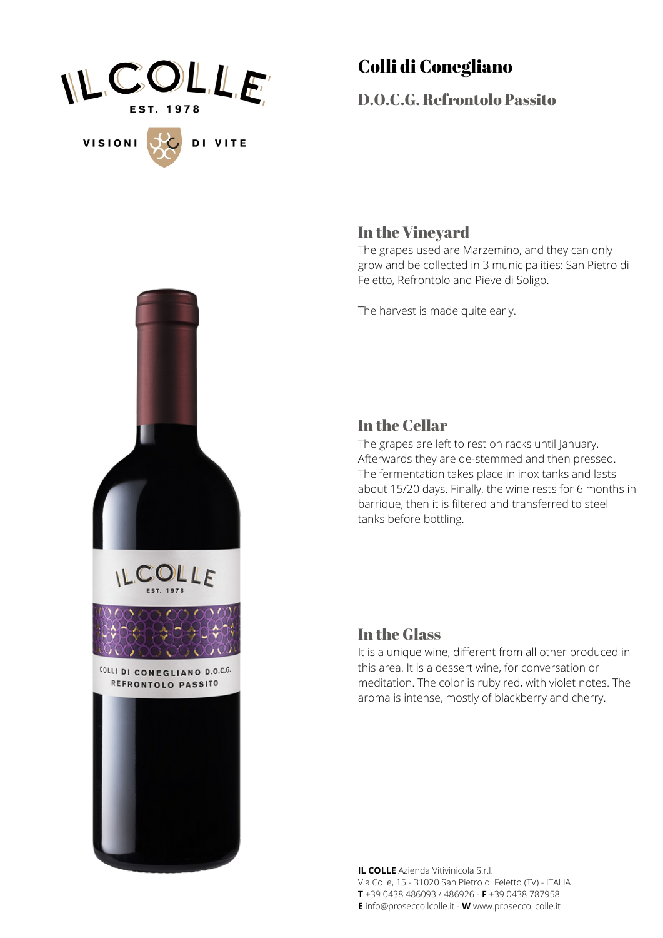

## Colli di Conegliano

D.O.C.G. Refrontolo Passito

# In the Vineyard

The grapes used are Marzemino, and they can only grow and be collected in 3 municipalities: San Pietro di Feletto, Refrontolo and Pieve di Soligo.

The harvest is made quite early.



### In the Cellar

The grapes are left to rest on racks until January. Afterwards they are de-stemmed and then pressed. The fermentation takes place in inox tanks and lasts about 15/20 days. Finally, the wine rests for 6 months in barrique, then it is filtered and transferred to steel tanks before bottling.

#### In the Glass

It is a unique wine, different from all other produced in this area. It is a dessert wine, for conversation or meditation. The color is ruby red, with violet notes. The aroma is intense, mostly of blackberry and cherry.

**IL COLLE** Azienda Vitivinicola S.r.l. Via Colle, 15 - 31020 San Pietro di Feletto (TV) - ITALIA **T** +39 0438 486093 / 486926 - **F** +39 0438 787958 **E** info@proseccoilcolle.it - **W** www.proseccoilcolle.it